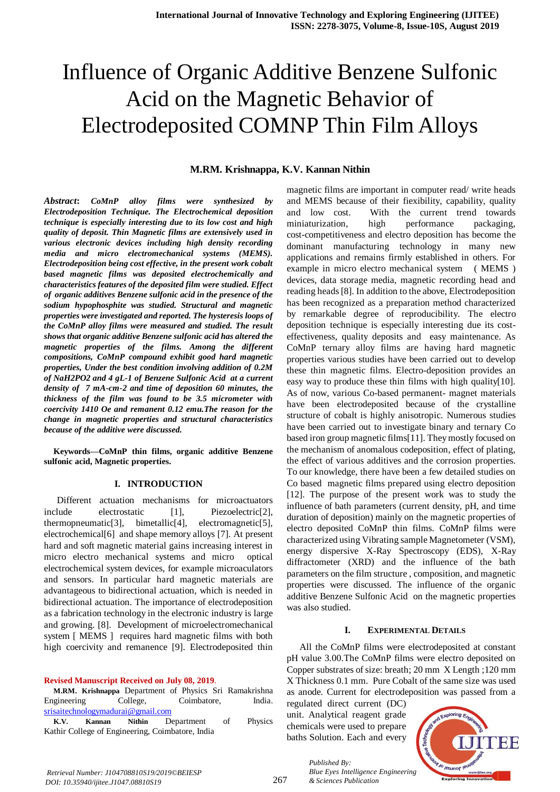# Influence of Organic Additive Benzene Sulfonic Acid on the Magnetic Behavior of Electrodeposited COMNP Thin Film Alloys

## **M.RM. Krishnappa, K.V. Kannan Nithin**

*Abstract***:** *CoMnP alloy films were synthesized by Electrodeposition Technique. The Electrochemical deposition technique is especially interesting due to its low cost and high quality of deposit. Thin Magnetic films are extensively used in various electronic devices including high density recording media and micro electromechanical systems (MEMS). Electrodeposition being cost effective, in the present work cobalt based magnetic films was deposited electrochemically and characteristics features of the deposited film were studied. Effect of organic additives Benzene sulfonic acid in the presence of the sodium hypophosphite was studied. Structural and magnetic properties were investigated and reported. The hysteresis loops of the CoMnP alloy films were measured and studied. The result shows that organic additive Benzene sulfonic acid has altered the magnetic properties of the films. Among the different compositions, CoMnP compound exhibit good hard magnetic properties, Under the best condition involving addition of 0.2M of NaH2PO2 and 4 gL-1 of Benzene Sulfonic Acid at a current density of 7 mA-cm-2 and time of deposition 60 minutes, the thickness of the film was found to be 3.5 micrometer with coercivity 1410 Oe and remanent 0.12 emu.The reason for the change in magnetic properties and structural characteristics because of the additive were discussed.*

**Keywords—CoMnP thin films, organic additive Benzene sulfonic acid, Magnetic properties***.* 

## **I. INTRODUCTION**

Different actuation mechanisms for microactuators include electrostatic [1], Piezoelectric<sup>[2]</sup>, thermopneumatic[3], bimetallic[4], electromagnetic[5], electrochemical[6] and shape memory alloys [7]. At present hard and soft magnetic material gains increasing interest in micro electro mechanical systems and micro optical electrochemical system devices, for example microaculators and sensors. In particular hard magnetic materials are advantageous to bidirectional actuation, which is needed in bidirectional actuation. The importance of electrodeposition as a fabrication technology in the electronic industry is large and growing. [8]. Development of microelectromechanical system [ MEMS ] requires hard magnetic films with both high coercivity and remanence [9]. Electrodeposited thin

**Revised Manuscript Received on July 08, 2019**.

**M.RM. Krishnappa** Department of Physics Sri Ramakrishna Engineering College, Coimbatore, India. [srisaitechnologymadurai@gmail.com](mailto:srisaitechnologymadurai@gmail.com)

**K.V. Kannan Nithin** Department of Physics Kathir College of Engineering, Coimbatore, India

magnetic films are important in computer read/ write heads and MEMS because of their fiexibility, capability, quality and low cost. With the current trend towards miniaturization, high performance packaging, cost-competitiveness and electro deposition has become the dominant manufacturing technology in many new applications and remains firmly established in others. For example in micro electro mechanical system ( MEMS ) devices, data storage media, magnetic recording head and reading heads [8]. In addition to the above, Electrodeposition has been recognized as a preparation method characterized by remarkable degree of reproducibility. The electro deposition technique is especially interesting due its costeffectiveness, quality deposits and easy maintenance. As CoMnP ternary alloy films are having hard magnetic properties various studies have been carried out to develop these thin magnetic films. Electro-deposition provides an easy way to produce these thin films with high quality[10]. As of now, various Co-based permanent- magnet materials have been electrodeposited because of the crystalline structure of cobalt is highly anisotropic. Numerous studies have been carried out to investigate binary and ternary Co based iron group magnetic films[11]. They mostly focused on the mechanism of anomalous codeposition, effect of plating, the effect of various additives and the corrosion properties. To our knowledge, there have been a few detailed studies on Co based magnetic films prepared using electro deposition [12]. The purpose of the present work was to study the influence of bath parameters (current density, pH, and time duration of deposition) mainly on the magnetic properties of electro deposited CoMnP thin films. CoMnP films were characterized using Vibrating sample Magnetometer (VSM), energy dispersive X-Ray Spectroscopy (EDS), X-Ray diffractometer (XRD) and the influence of the bath parameters on the film structure , composition, and magnetic properties were discussed. The influence of the organic additive Benzene Sulfonic Acid on the magnetic properties was also studied.

#### **I. EXPERIMENTAL DETAILS**

All the CoMnP films were electrodeposited at constant pH value 3.00.The CoMnP films were electro deposited on Copper substrates of size: breath; 20 mm X Length ;120 mm X Thickness 0.1 mm. Pure Cobalt of the same size was used as anode. Current for electrodeposition was passed from a

regulated direct current (DC) unit. Analytical reagent grade chemicals were used to prepare baths Solution. Each and every

*& Sciences Publication* 

*Published By:*



*Retrieval Number: J104708810S19/2019©BEIESP DOI: 10.35940/ijitee.J1047.08810S19*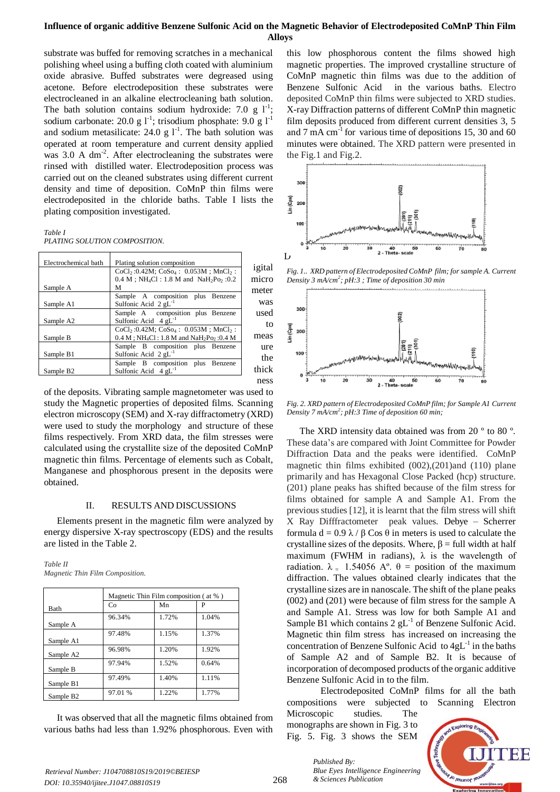# **Influence of organic additive Benzene Sulfonic Acid on the Magnetic Behavior of Electrodeposited CoMnP Thin Film Alloys**

substrate was buffed for removing scratches in a mechanical polishing wheel using a buffing cloth coated with aluminium oxide abrasive. Buffed substrates were degreased using acetone. Before electrodeposition these substrates were electrocleaned in an alkaline electrocleaning bath solution. The bath solution contains sodium hydroxide: 7.0 g  $1^{-1}$ ; sodium carbonate: 20.0 g  $1^{-1}$ ; trisodium phosphate: 9.0 g  $1^{-1}$ and sodium metasilicate: 24.0 g  $1^{-1}$ . The bath solution was operated at room temperature and current density applied was 3.0 A dm<sup>-2</sup>. After electrocleaning the substrates were rinsed with distilled water. Electrodeposition process was carried out on the cleaned substrates using different current density and time of deposition. CoMnP thin films were electrodeposited in the chloride baths. Table I lists the plating composition investigated.

*Table I*

*PLATING SOLUTION COMPOSITION.*

| Electrochemical bath  | Plating solution composition                                                     |        |
|-----------------------|----------------------------------------------------------------------------------|--------|
|                       | $CoCl2$ :0.42M; $CoSo4$ : 0.053M; MnCl <sub>2</sub> :                            | igital |
|                       | $0.4 M$ ; NH <sub>4</sub> Cl: 1.8 M and NaH <sub>2</sub> P <sub>0</sub> , :0.2   | micro  |
| Sample A              | м                                                                                | meter  |
|                       | Sample A composition plus Benzene                                                |        |
| Sample A1             | Sulfonic Acid $2 \text{ gL}^{-1}$                                                | was    |
|                       | Sample A composition plus Benzene                                                | used   |
| Sample A2             | Sulfonic Acid $4 \text{ gL}^{-1}$                                                | to     |
|                       | $CoCl2: 0.42M$ ; $CoSo4: 0.053M$ ; MnCl <sub>2</sub> :                           |        |
| Sample B              | $0.4 M$ ; NH <sub>4</sub> Cl: 1.8 M and NaH <sub>2</sub> P <sub>0</sub> , :0.4 M | meas   |
|                       | Sample B composition plus Benzene                                                | ure    |
| Sample B1             | Sulfonic Acid 2 gL                                                               | the    |
|                       | Sample B composition plus Benzene                                                |        |
| Sample B <sub>2</sub> | Sulfonic Acid $4 \text{ gL}^{-1}$                                                | thick  |
|                       |                                                                                  | ness   |

of the deposits. Vibrating sample magnetometer was used to study the Magnetic properties of deposited films. Scanning electron microscopy (SEM) and X-ray diffractometry (XRD) were used to study the morphology and structure of these films respectively. From XRD data, the film stresses were calculated using the crystallite size of the deposited CoMnP magnetic thin films. Percentage of elements such as Cobalt, Manganese and phosphorous present in the deposits were obtained.

## II. RESULTS AND DISCUSSIONS

Elements present in the magnetic film were analyzed by energy dispersive X-ray spectroscopy (EDS) and the results are listed in the Table 2.

| Table II                        |  |
|---------------------------------|--|
| Magnetic Thin Film Composition. |  |

|                       | Magnetic Thin Film composition (at %) |       |       |  |
|-----------------------|---------------------------------------|-------|-------|--|
| <b>Bath</b>           | Co                                    | Mn    |       |  |
| Sample A              | 96.34%                                | 1.72% | 1.04% |  |
| Sample A1             | 97.48%                                | 1.15% | 1.37% |  |
| Sample A2             | 96.98%                                | 1.20% | 1.92% |  |
| Sample B              | 97.94%                                | 1.52% | 0.64% |  |
| Sample B1             | 97.49%                                | 1.40% | 1.11% |  |
| Sample B <sub>2</sub> | 97.01 %                               | 1.22% | 1.77% |  |

It was observed that all the magnetic films obtained from various baths had less than 1.92% phosphorous. Even with

this low phosphorous content the films showed high magnetic properties. The improved crystalline structure of CoMnP magnetic thin films was due to the addition of Benzene Sulfonic Acid in the various baths. Electro deposited CoMnP thin films were subjected to XRD studies. X-ray Diffraction patterns of different CoMnP thin magnetic film deposits produced from different current densities 3, 5 and 7 mA  $cm<sup>-1</sup>$  for various time of depositions 15, 30 and 60 minutes were obtained. The XRD pattern were presented in the Fig.1 and Fig.2.



*Fig. 1.. XRD pattern of Electrodeposited CoMnP film; for sample A. Current Density 3 mA/cm<sup>2</sup> ; pH:3 ; Time of deposition 30 min* 



*Fig. 2. XRD pattern of Electrodeposited CoMnP film; for Sample A1 Current Density 7 mA/cm<sup>2</sup> ; pH:3 Time of deposition 60 min;*

The XRD intensity data obtained was from 20 ° to 80 °. These data's are compared with Joint Committee for Powder Diffraction Data and the peaks were identified. CoMnP magnetic thin films exhibited (002),(201)and (110) plane primarily and has Hexagonal Close Packed (hcp) structure. (201) plane peaks has shifted because of the film stress for films obtained for sample A and Sample A1. From the previous studies [12], it is learnt that the film stress will shift X Ray Difffractometer peak values. Debye – Scherrer formula d = 0.9 λ / β Cos θ in meters is used to calculate the crystalline sizes of the deposits. Where,  $\beta$  = full width at half maximum (FWHM in radians),  $\lambda$  is the wavelength of radiation.  $λ_ = 1.54056 A°$ . θ = position of the maximum diffraction. The values obtained clearly indicates that the crystalline sizes are in nanoscale. The shift of the plane peaks (002) and (201) were because of film stress for the sample A and Sample A1. Stress was low for both Sample A1 and Sample B1 which contains  $2 \text{ gL}^{-1}$  of Benzene Sulfonic Acid. Magnetic thin film stress has increased on increasing the concentration of Benzene Sulfonic Acid to  $4gL^{-1}$  in the baths of Sample A2 and of Sample B2. It is because of incorporation of decomposed products of the organic additive Benzene Sulfonic Acid in to the film.

Electrodeposited CoMnP films for all the bath compositions were subjected to Scanning Electron Microscopic studies. The

monographs are shown in Fig. 3 to Fig. 5. Fig. 3 shows the SEM

*Blue Eyes Intelligence Engineering* 

*Published By:*

*& Sciences Publication* 



*Retrieval Number: J104708810S19/2019©BEIESP DOI: 10.35940/ijitee.J1047.08810S19*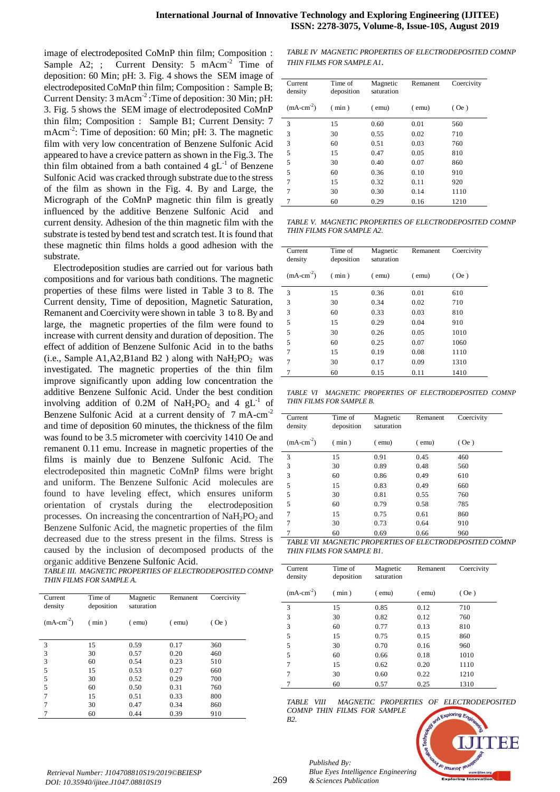image of electrodeposited CoMnP thin film; Composition : Sample A2; ; Current Density:  $5 \text{ mAcm}^{-2}$  Time of deposition: 60 Min; pH: 3. Fig. 4 shows the SEM image of electrodeposited CoMnP thin film; Composition : Sample B; Current Density: 3 mAcm<sup>-2</sup>: Time of deposition: 30 Min; pH: 3. Fig. 5 shows the SEM image of electrodeposited CoMnP thin film; Composition : Sample B1; Current Density: 7 mAcm<sup>-2</sup>: Time of deposition: 60 Min; pH: 3. The magnetic film with very low concentration of Benzene Sulfonic Acid appeared to have a crevice pattern as shown in the Fig.3. The thin film obtained from a bath contained  $4 \text{ gL}^{-1}$  of Benzene Sulfonic Acid was cracked through substrate due to the stress of the film as shown in the Fig. 4. By and Large, the Micrograph of the CoMnP magnetic thin film is greatly influenced by the additive Benzene Sulfonic Acid and current density. Adhesion of the thin magnetic film with the substrate is tested by bend test and scratch test. It is found that these magnetic thin films holds a good adhesion with the substrate.

Electrodeposition studies are carried out for various bath compositions and for various bath conditions. The magnetic properties of these films were listed in Table 3 to 8. The Current density, Time of deposition, Magnetic Saturation, Remanent and Coercivity were shown in table 3 to 8. By and large, the magnetic properties of the film were found to increase with current density and duration of deposition. The effect of addition of Benzene Sulfonic Acid in to the baths (i.e., Sample A1, A2, B1 and B2) along with  $NaH<sub>2</sub>PO<sub>2</sub>$  was investigated. The magnetic properties of the thin film improve significantly upon adding low concentration the additive Benzene Sulfonic Acid. Under the best condition involving addition of 0.2M of NaH<sub>2</sub>PO<sub>2</sub> and 4  $gL^{-1}$  of Benzene Sulfonic Acid at a current density of 7 mA-cm<sup>-2</sup> and time of deposition 60 minutes, the thickness of the film was found to be 3.5 micrometer with coercivity 1410 Oe and remanent 0.11 emu. Increase in magnetic properties of the films is mainly due to Benzene Sulfonic Acid. The electrodeposited thin magnetic CoMnP films were bright and uniform. The Benzene Sulfonic Acid molecules are found to have leveling effect, which ensures uniform orientation of crystals during the electrodeposition processes. On increasing the concentrartion of  $\text{NaH}_2\text{PO}_2$  and Benzene Sulfonic Acid, the magnetic properties of the film decreased due to the stress present in the films. Stress is caused by the inclusion of decomposed products of the organic additive Benzene Sulfonic Acid.

*TABLE III. MAGNETIC PROPERTIES OF ELECTRODEPOSITED COMNP THIN FILMS FOR SAMPLE A.*

| Current<br>density | Time of<br>deposition | Magnetic<br>saturation | Remanent    | Coercivity |
|--------------------|-----------------------|------------------------|-------------|------------|
| $(mA-cm-2)$        | (min)                 | $($ emu $)$            | $($ emu $)$ | $($ Oe $)$ |
|                    |                       |                        |             |            |
| 3                  | 15                    | 0.59                   | 0.17        | 360        |
| 3                  | 30                    | 0.57                   | 0.20        | 460        |
| 3                  | 60                    | 0.54                   | 0.23        | 510        |
| 5                  | 15                    | 0.53                   | 0.27        | 660        |
| 5                  | 30                    | 0.52                   | 0.29        | 700        |
| 5                  | 60                    | 0.50                   | 0.31        | 760        |
| 7                  | 15                    | 0.51                   | 0.33        | 800        |
| 7                  | 30                    | 0.47                   | 0.34        | 860        |
|                    | 60                    | 0.44                   | 0.39        | 910        |

*TABLE IV MAGNETIC PROPERTIES OF ELECTRODEPOSITED COMNP THIN FILMS FOR SAMPLE A1.*

| Current<br>density | Time of<br>deposition | Magnetic<br>saturation | Remanent    | Coercivity |
|--------------------|-----------------------|------------------------|-------------|------------|
| $(mA-cm-2)$        | (min)                 | $($ emu $)$            | $($ emu $)$ | (Oe)       |
| 3                  | 15                    | 0.60                   | 0.01        | 560        |
| 3                  | 30                    | 0.55                   | 0.02        | 710        |
| 3                  | 60                    | 0.51                   | 0.03        | 760        |
| 5                  | 15                    | 0.47                   | 0.05        | 810        |
| 5                  | 30                    | 0.40                   | 0.07        | 860        |
| 5                  | 60                    | 0.36                   | 0.10        | 910        |
| 7                  | 15                    | 0.32                   | 0.11        | 920        |
| 7                  | 30                    | 0.30                   | 0.14        | 1110       |
|                    | 60                    | 0.29                   | 0.16        | 1210       |

*TABLE V. MAGNETIC PROPERTIES OF ELECTRODEPOSITED COMNP THIN FILMS FOR SAMPLE A2.*

| Current<br>density | Time of<br>deposition | Magnetic<br>saturation | Remanent    | Coercivity |
|--------------------|-----------------------|------------------------|-------------|------------|
| $(mA-cm-2)$        | (min)                 | $($ emu $)$            | $($ emu $)$ | (Oe)       |
| 3                  | 15                    | 0.36                   | 0.01        | 610        |
| 3                  | 30                    | 0.34                   | 0.02        | 710        |
| 3                  | 60                    | 0.33                   | 0.03        | 810        |
| 5                  | 15                    | 0.29                   | 0.04        | 910        |
| 5                  | 30                    | 0.26                   | 0.05        | 1010       |
| 5                  | 60                    | 0.25                   | 0.07        | 1060       |
| 7                  | 15                    | 0.19                   | 0.08        | 1110       |
| 7                  | 30                    | 0.17                   | 0.09        | 1310       |
|                    | 60                    | 0.15                   | 0.11        | 1410       |
|                    |                       |                        |             |            |

*TABLE VI MAGNETIC PROPERTIES OF ELECTRODEPOSITED COMNP THIN FILMS FOR SAMPLE B.*

| Current<br>density | Time of<br>deposition | Magnetic<br>saturation | Remanent    | Coercivity |
|--------------------|-----------------------|------------------------|-------------|------------|
| $(mA-cm-2)$        | (min)                 | $($ emu $)$            | $($ emu $)$ | $($ Oe $)$ |
| 3                  | 15                    | 0.91                   | 0.45        | 460        |
| 3                  | 30                    | 0.89                   | 0.48        | 560        |
| 3                  | 60                    | 0.86                   | 0.49        | 610        |
| 5                  | 15                    | 0.83                   | 0.49        | 660        |
| 5                  | 30                    | 0.81                   | 0.55        | 760        |
| 5                  | 60                    | 0.79                   | 0.58        | 785        |
| 7                  | 15                    | 0.75                   | 0.61        | 860        |
| 7                  | 30                    | 0.73                   | 0.64        | 910        |
|                    | 60                    | 0.69                   | 0.66        | 960        |

*TABLE VII MAGNETIC PROPERTIES OF ELECTRODEPOSITED COMNP THIN FILMS FOR SAMPLE B1.*

| Current<br>density | Time of<br>deposition | Magnetic<br>saturation | Remanent    | Coercivity |
|--------------------|-----------------------|------------------------|-------------|------------|
| $(mA-cm-2)$        | (min)                 | $($ emu $)$            | $($ emu $)$ | (Oe)       |
| 3                  | 15                    | 0.85                   | 0.12        | 710        |
| 3                  | 30                    | 0.82                   | 0.12        | 760        |
| 3                  | 60                    | 0.77                   | 0.13        | 810        |
| 5                  | 15                    | 0.75                   | 0.15        | 860        |
| 5                  | 30                    | 0.70                   | 0.16        | 960        |
| 5                  | 60                    | 0.66                   | 0.18        | 1010       |
| 7                  | 15                    | 0.62                   | 0.20        | 1110       |
| 7                  | 30                    | 0.60                   | 0.22        | 1210       |
|                    | 60                    | 0.57                   | 0.25        | 1310       |

*TABLE VIII MAGNETIC PROPERTIES OF ELECTRODEPOSITED COMNP THIN FILMS FOR SAMPLE B2.*



*Published By:*

*& Sciences Publication* 

*Blue Eyes Intelligence Engineering*